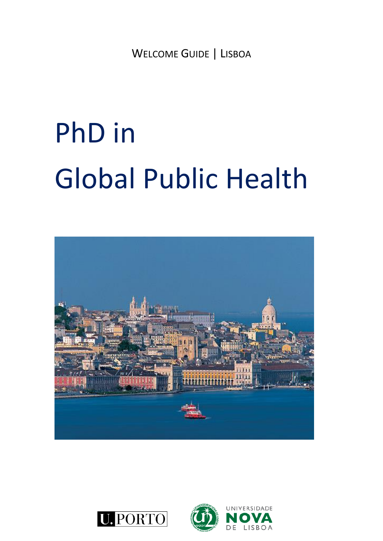WELCOME GUIDE | LISBOA

# PhD in Global Public Health



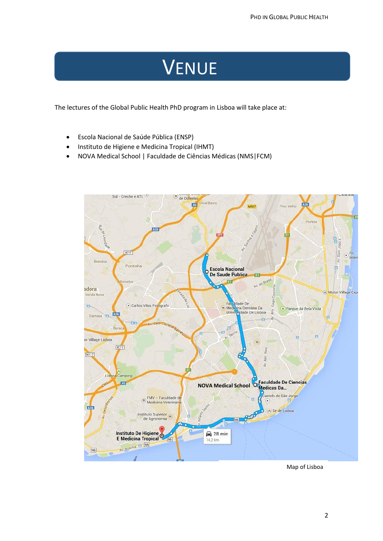### VENUE

The lectures of the Global Public Health PhD program in Lisboa will take place at:

- Escola Nacional de Saúde Pública (ENSP)
- Instituto de Higiene e Medicina Tropical (IHMT)
- NOVA Medical School | Faculdade de Ciências Médicas (NMS|FCM)



Map of Lisboa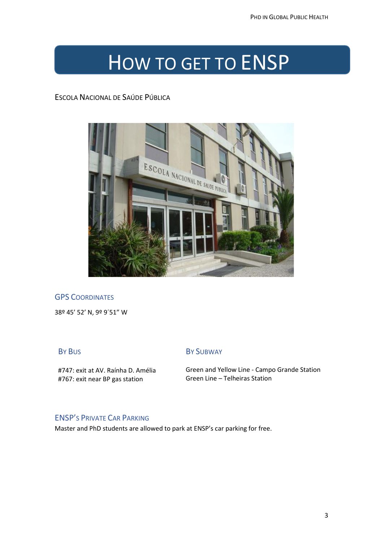### HOW TO GET TO ENSP

ESCOLA NACIONAL DE SAÚDE PÚBLICA



#### **GPS COORDINATES**

38º 45' 52' N, 9º 9´51" W

#### BY BUS

#747: exit at AV. Raínha D. Amélia #767: exit near BP gas station

#### BY SUBWAY

Green and Yellow Line - Campo Grande Station Green Line – Telheiras Station

#### ENSP'S PRIVATE CAR PARKING

Master and PhD students are allowed to park at ENSP's car parking for free.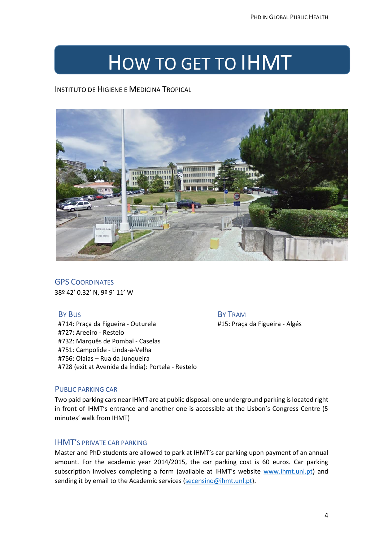### HOW TO GET TO IHMT

INSTITUTO DE HIGIENE E MEDICINA TROPICAL



**GPS COORDINATES** 38º 42' 0.32' N, 9º 9´ 11' W

#### BY BUS

#714: Praça da Figueira - Outurela #727: Areeiro - Restelo #732: Marquês de Pombal - Caselas #751: Campolide - Linda-a-Velha #756: Olaias – Rua da Junqueira #728 (exit at Avenida da Índia): Portela - Restelo

#### BY TRAM

#15: Praça da Figueira - Algés

#### PUBLIC PARKING CAR

Two paid parking cars near IHMT are at public disposal: one underground parking is located right in front of IHMT's entrance and another one is accessible at the Lisbon's Congress Centre (5 minutes' walk from IHMT)

#### IHMT'S PRIVATE CAR PARKING

Master and PhD students are allowed to park at IHMT's car parking upon payment of an annual amount. For the academic year 2014/2015, the car parking cost is 60 euros. Car parking subscription involves completing a form (available at IHMT's website [www.ihmt.unl.pt\)](http://www.ihmt.unl.pt/) and sending it by email to the Academic services [\(secensino@ihmt.unl.pt\)](mailto:secensino@ihmt.unl.pt).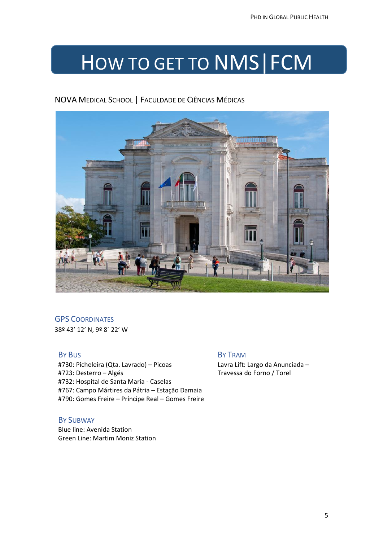## HOW TO GET TO NMS|FCM

#### NOVA MEDICAL SCHOOL | FACULDADE DE CIÊNCIAS MÉDICAS



#### **GPS COORDINATES**

38º 43' 12' N, 9º 8´ 22' W

#### BY BUS

#730: Picheleira (Qta. Lavrado) – Picoas #723: Desterro – Algés #732: Hospital de Santa Maria - Caselas #767: Campo Mártires da Pátria – Estação Damaia #790: Gomes Freire – Príncipe Real – Gomes Freire

#### BY SUBWAY

Blue line: Avenida Station Green Line: Martim Moniz Station

BY TRAM Lavra Lift: Largo da Anunciada – Travessa do Forno / Torel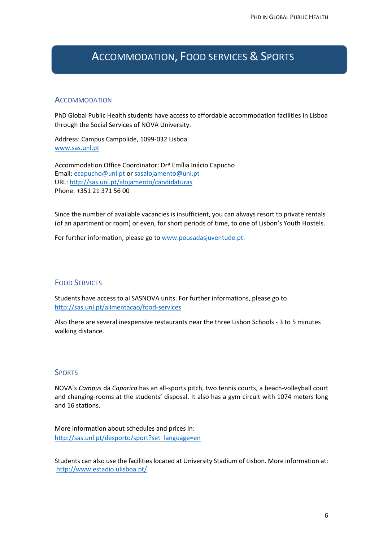### ACCOMMODATION, FOOD SERVICES & SPORTS

#### **ACCOMMODATION**

PhD Global Public Health students have access to affordable accommodation facilities in Lisboa through the Social Services of NOVA University.

Address: Campus Campolide, 1099-032 Lisboa [www.sas.unl.pt](http://www.sas.unl.pt/)

Accommodation Office Coordinator: Drª Emília Inácio Capucho Email: [ecapucho@unl.pt](mailto:ecapucho@unl.pt) or [sasalojamento@unl.pt](mailto:sasalojamento@unl.pt) URL:<http://sas.unl.pt/alojamento/candidaturas> Phone: +351 21 371 56 00

Since the number of available vacancies is insufficient, you can always resort to private rentals (of an apartment or room) or even, for short periods of time, to one of Lisbon's Youth Hostels.

For further information, please go t[o www.pousadasjuventude.pt.](http://www.pousadasjuventude.pt/)

#### FOOD SERVICES

Students have access to al SASNOVA units. For further informations, please go to <http://sas.unl.pt/alimentacao/food-services>

Also there are several inexpensive restaurants near the three Lisbon Schools - 3 to 5 minutes walking distance.

#### **SPORTS**

NOVA´s *Campus* da *Caparica* has an all-sports pitch, two tennis courts, a beach-volleyball court and changing-rooms at the students' disposal. It also has a gym circuit with 1074 meters long and 16 stations.

More information about schedules and prices in: [http://sas.unl.pt/desporto/sport?set\\_language=en](http://sas.unl.pt/desporto/sport?set_language=en)

Students can also use the facilities located at University Stadium of Lisbon. More information at: <http://www.estadio.ulisboa.pt/>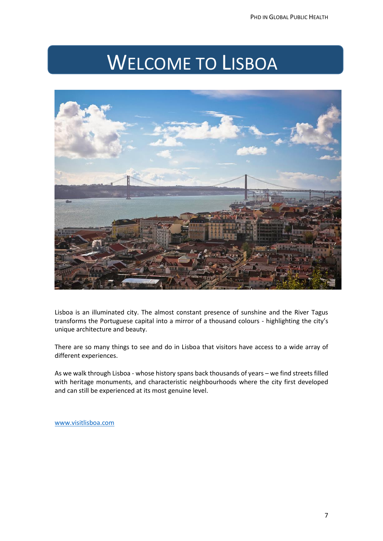### WELCOME TO LISBOA



Lisboa is an illuminated city. The almost constant presence of sunshine and the River Tagus transforms the Portuguese capital into a mirror of a thousand colours - highlighting the city's unique architecture and beauty.

There are so many things to see and do in Lisboa that visitors have access to a wide array of different experiences.

As we walk through Lisboa - whose [history](http://www.visitlisboa.com/Conteudos/Menu-Principal/Lisboa/Historia.aspx?lang=en-GB) spans back thousands of years – we find streets filled with heritage monuments, and characteristic [neighbourhoods](http://www.visitlisboa.com/Conteudos/Menu-Principal/Lisboa/Centro-Historico.aspx?lang=en-GB) where the city first developed and can still be experienced at its most genuine level.

[www.visitlisboa.com](http://www.visitlisboa.com/)